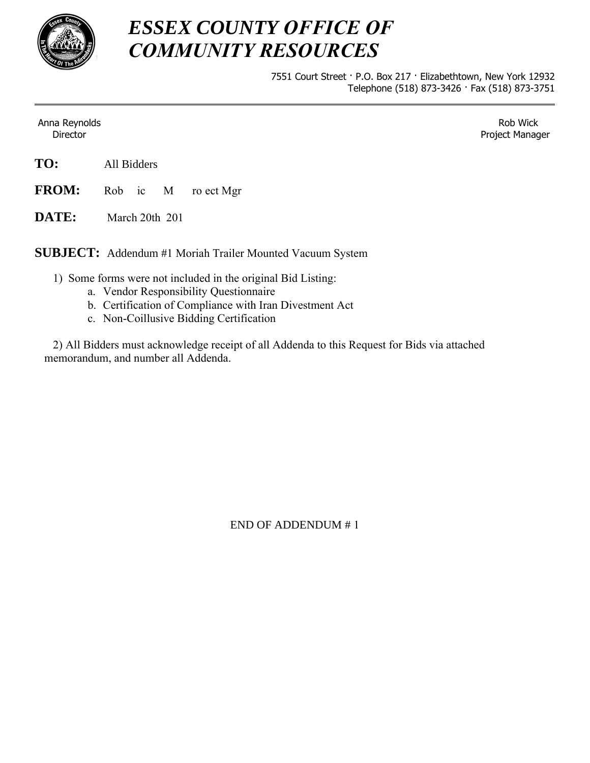

# *ESSEX COUNTY OFFICE OF COMMUNITY RESOURCES*

7551 Court Street · P.O. Box 217 · Elizabethtown, New York 12932 Telephone (518) 873-3426 · Fax (518) 873-3751

Anna Reynolds Director

Rob Wick Project Manager

**FROM:**  $Rob$  ic  $M$  ro ect Mgr

**DATE:** March  $20th$ ,  $201$ 

**SUBJECT:** Addendum #1 Moriah Trailer Mounted Vacuum System

- 1) Some forms were not included in the original Bid Listing:
	- a. Vendor Responsibility Questionnaire
	- b. Certification of Compliance with Iran Divestment Act
	- c. Non-Coillusive Bidding Certification

 2) All Bidders must acknowledge receipt of all Addenda to this Request for Bids via attached memorandum, and number all Addenda.

END OF ADDENDUM # 1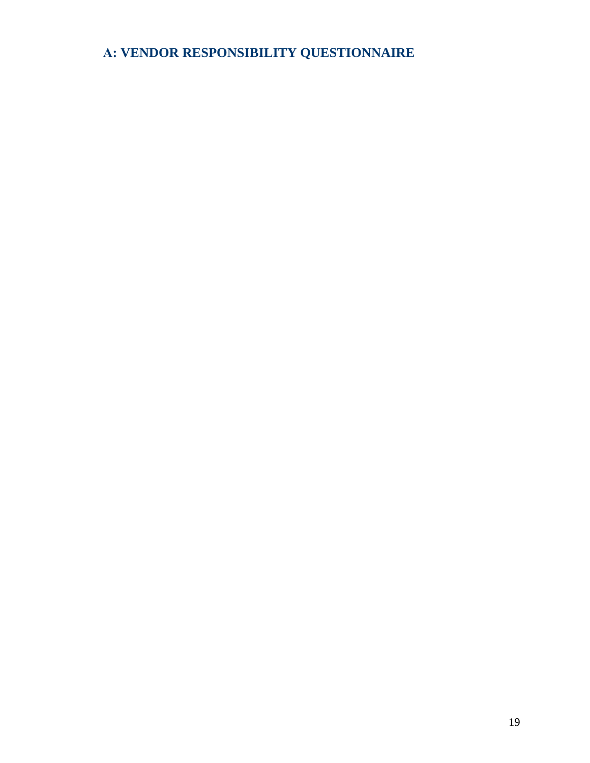# **A: VENDOR RESPONSIBILITY QUESTIONNAIRE**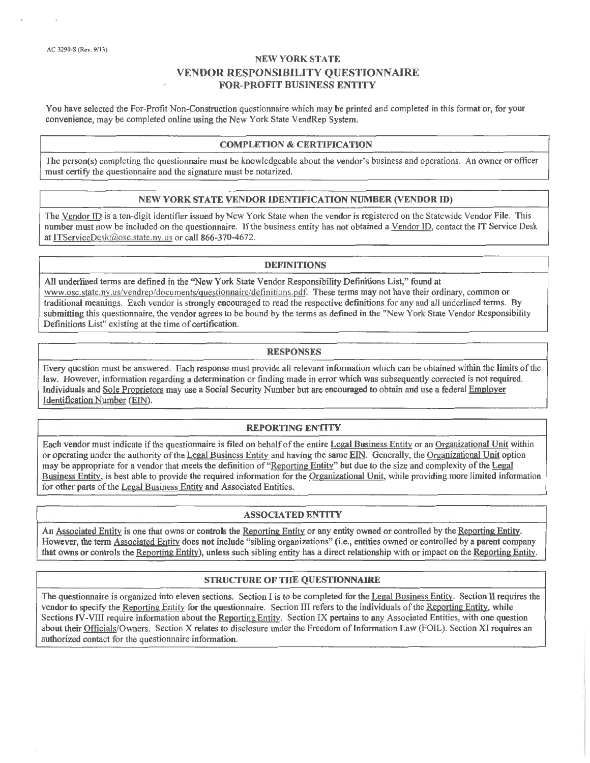You have selected the For-Profit Non-Construction questionnaire which may be printed and completed in this format or, for your convenience, may be completed online using the New York State VendRep System.

#### **COMPLETION & CERTIFICATION**

The person(s) completing the questionnaire must be knowledgeable about the vendor's business and operations. An owner or officer must certify the questionnaire and the signature must be notarized.

#### NEW YORK STATE VENDOR IDENTIFICATION NUMBER (VENDOR ID)

The Vendor ID is a ten-digit identifier issued by New York State when the vendor is registered on the Statewide Vendor File. This number must now be included on the questionnaire. If the business entity has not obtained a Vendor ID, contact the IT Service Desk at ITServiceDesk@osc.state.ny.us or call 866-370-4672.

#### **DEFINITIONS**

All underlined terms are defined in the "New York State Vendor Responsibility Definitions List," found at www.osc.state.ny.us/vendrep/documents/questionnaire/definitions.pdf. These terms may not have their ordinary, common or traditional meanings. Each vendor is strongly encouraged to read the respective definitions for any and all underlined terms. By submitting this questionnaire, the vendor agrees to be bound by the terms as defined in the "New York State Vendor Responsibility Definitions List" existing at the time of certification.

#### **RESPONSES**

Every question must be answered. Each response must provide all relevant information which can be obtained within the limits of the law. However, information regarding a determination or finding made in error which was subsequently corrected is not required. Individuals and Sole Proprietors may use a Social Security Number but are encouraged to obtain and use a federal Employer Identification Number (EIN).

#### **REPORTING ENTITY**

Each vendor must indicate if the questionnaire is filed on behalf of the entire Legal Business Entity or an Organizational Unit within or operating under the authority of the Legal Business Entity and having the same EIN. Generally, the Organizational Unit option may be appropriate for a vendor that meets the definition of "Reporting Entity" but due to the size and complexity of the Legal Business Entity, is best able to provide the required information for the Organizational Unit, while providing more limited information for other parts of the Legal Business Entity and Associated Entities.

#### **ASSOCIATED ENTITY**

An Associated Entity is one that owns or controls the Reporting Entity or any entity owned or controlled by the Reporting Entity. However, the term Associated Entity does not include "sibling organizations" (i.e., entities owned or controlled by a parent company that owns or controls the Reporting Entity), unless such sibling entity has a direct relationship with or impact on the Reporting Entity.

#### STRUCTURE OF THE QUESTIONNAIRE

The questionnaire is organized into eleven sections. Section I is to be completed for the Legal Business Entity. Section II requires the vendor to specify the Reporting Entity for the questionnaire. Section III refers to the individuals of the Reporting Entity, while Sections IV-VIII require information about the Reporting Entity. Section IX pertains to any Associated Entities, with one question about their Officials/Owners. Section X relates to disclosure under the Freedom of Information Law (FOIL). Section XI requires an authorized contact for the questionnaire information.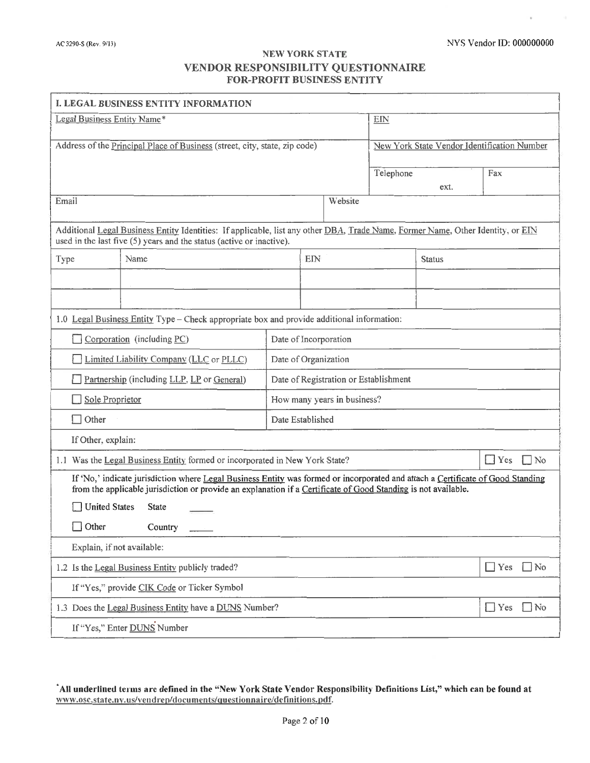| I. LEGAL BUSINESS ENTITY INFORMATION                                                                                                                                                                                                              |                                                                                                                                                                                                           |                  |                                       |           |                                             |                         |
|---------------------------------------------------------------------------------------------------------------------------------------------------------------------------------------------------------------------------------------------------|-----------------------------------------------------------------------------------------------------------------------------------------------------------------------------------------------------------|------------------|---------------------------------------|-----------|---------------------------------------------|-------------------------|
| Legal Business Entity Name*                                                                                                                                                                                                                       |                                                                                                                                                                                                           |                  |                                       | EIN       |                                             |                         |
| Address of the Principal Place of Business (street, city, state, zip code)                                                                                                                                                                        |                                                                                                                                                                                                           |                  |                                       |           | New York State Vendor Identification Number |                         |
|                                                                                                                                                                                                                                                   |                                                                                                                                                                                                           |                  |                                       |           |                                             |                         |
|                                                                                                                                                                                                                                                   |                                                                                                                                                                                                           |                  |                                       | Telephone | ext.                                        | Fax                     |
| Email                                                                                                                                                                                                                                             |                                                                                                                                                                                                           |                  | Website                               |           |                                             |                         |
|                                                                                                                                                                                                                                                   | Additional Legal Business Entity Identities: If applicable, list any other DBA, Trade Name, Former Name, Other Identity, or EIN<br>used in the last five $(5)$ years and the status (active or inactive). |                  |                                       |           |                                             |                         |
| Type                                                                                                                                                                                                                                              | Name                                                                                                                                                                                                      |                  | EIN                                   |           | <b>Status</b>                               |                         |
|                                                                                                                                                                                                                                                   |                                                                                                                                                                                                           |                  |                                       |           |                                             |                         |
|                                                                                                                                                                                                                                                   |                                                                                                                                                                                                           |                  |                                       |           |                                             |                         |
|                                                                                                                                                                                                                                                   | 1.0 Legal Business Entity Type – Check appropriate box and provide additional information:                                                                                                                |                  |                                       |           |                                             |                         |
|                                                                                                                                                                                                                                                   | Corporation (including PC)                                                                                                                                                                                |                  | Date of Incorporation                 |           |                                             |                         |
| Limited Liability Company (LLC or PLLC)                                                                                                                                                                                                           |                                                                                                                                                                                                           |                  | Date of Organization                  |           |                                             |                         |
| Partnership (including LLP, LP or General)                                                                                                                                                                                                        |                                                                                                                                                                                                           |                  | Date of Registration or Establishment |           |                                             |                         |
| Sole Proprietor                                                                                                                                                                                                                                   |                                                                                                                                                                                                           |                  | How many years in business?           |           |                                             |                         |
| $\Box$ Other                                                                                                                                                                                                                                      |                                                                                                                                                                                                           | Date Established |                                       |           |                                             |                         |
| If Other, explain:                                                                                                                                                                                                                                |                                                                                                                                                                                                           |                  |                                       |           |                                             |                         |
|                                                                                                                                                                                                                                                   | 1.1 Was the Legal Business Entity formed or incorporated in New York State?                                                                                                                               |                  |                                       |           |                                             | $\Box$ Yes<br>$\Box$ No |
| If 'No,' indicate jurisdiction where Legal Business Entity was formed or incorporated and attach a Certificate of Good Standing<br>from the applicable jurisdiction or provide an explanation if a Certificate of Good Standing is not available. |                                                                                                                                                                                                           |                  |                                       |           |                                             |                         |
|                                                                                                                                                                                                                                                   | <b>United States</b><br><b>State</b>                                                                                                                                                                      |                  |                                       |           |                                             |                         |
| $\Box$ Other                                                                                                                                                                                                                                      | Country                                                                                                                                                                                                   |                  |                                       |           |                                             |                         |
| Explain, if not available:                                                                                                                                                                                                                        |                                                                                                                                                                                                           |                  |                                       |           |                                             |                         |
|                                                                                                                                                                                                                                                   | 1.2 Is the Legal Business Entity publicly traded?                                                                                                                                                         |                  |                                       |           |                                             | $\Box$ Yes<br>$\Box$ No |
| If "Yes," provide CIK Code or Ticker Symbol                                                                                                                                                                                                       |                                                                                                                                                                                                           |                  |                                       |           |                                             |                         |
|                                                                                                                                                                                                                                                   | 1.3 Does the Legal Business Entity have a DUNS Number?                                                                                                                                                    |                  |                                       |           |                                             | $\Box$ Yes<br>$\Box$ No |
| If "Yes," Enter DUNS Number                                                                                                                                                                                                                       |                                                                                                                                                                                                           |                  |                                       |           |                                             |                         |

<sup>\*</sup>All underlined terms are defined in the "New York State Vendor Responsibility Definitions List," which can be found at www.osc.state.ny.us/vendrep/documents/questionnaire/definitions.pdf.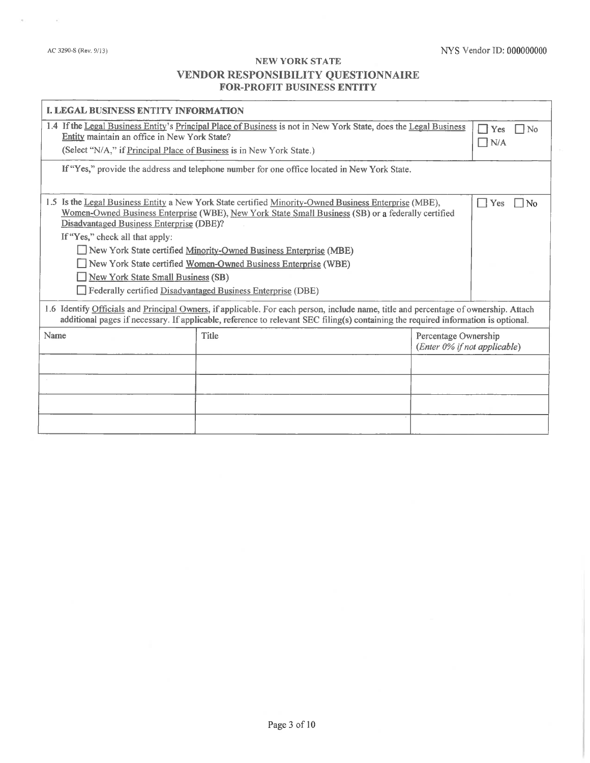$\alpha$ 

| <b>I. LEGAL BUSINESS ENTITY INFORMATION</b>                                                                                                                                                                                                                                                                      |                                                                   |  |  |  |
|------------------------------------------------------------------------------------------------------------------------------------------------------------------------------------------------------------------------------------------------------------------------------------------------------------------|-------------------------------------------------------------------|--|--|--|
| 1.4 If the Legal Business Entity's Principal Place of Business is not in New York State, does the Legal Business<br>Entity maintain an office in New York State?<br>(Select "N/A," if Principal Place of Business is in New York State.)                                                                         |                                                                   |  |  |  |
| If "Yes," provide the address and telephone number for one office located in New York State.                                                                                                                                                                                                                     |                                                                   |  |  |  |
| 1.5 Is the Legal Business Entity a New York State certified Minority-Owned Business Enterprise (MBE),<br>Yes<br>  No<br>- 1<br>Women-Owned Business Enterprise (WBE), New York State Small Business (SB) or a federally certified<br>Disadvantaged Business Enterprise (DBE)?<br>If "Yes," check all that apply: |                                                                   |  |  |  |
|                                                                                                                                                                                                                                                                                                                  |                                                                   |  |  |  |
| New York State certified Women-Owned Business Enterprise (WBE)                                                                                                                                                                                                                                                   |                                                                   |  |  |  |
| New York State Small Business (SB)                                                                                                                                                                                                                                                                               |                                                                   |  |  |  |
| Federally certified Disadvantaged Business Enterprise (DBE)                                                                                                                                                                                                                                                      |                                                                   |  |  |  |
| 1.6 Identify Officials and Principal Owners, if applicable. For each person, include name, title and percentage of ownership. Attach<br>additional pages if necessary. If applicable, reference to relevant SEC filing(s) containing the required information is optional.                                       |                                                                   |  |  |  |
| <b>Title</b>                                                                                                                                                                                                                                                                                                     | Percentage Ownership<br>(Enter 0% if not applicable)              |  |  |  |
|                                                                                                                                                                                                                                                                                                                  |                                                                   |  |  |  |
|                                                                                                                                                                                                                                                                                                                  |                                                                   |  |  |  |
|                                                                                                                                                                                                                                                                                                                  |                                                                   |  |  |  |
|                                                                                                                                                                                                                                                                                                                  |                                                                   |  |  |  |
|                                                                                                                                                                                                                                                                                                                  |                                                                   |  |  |  |
|                                                                                                                                                                                                                                                                                                                  | New York State certified Minority-Owned Business Enterprise (MBE) |  |  |  |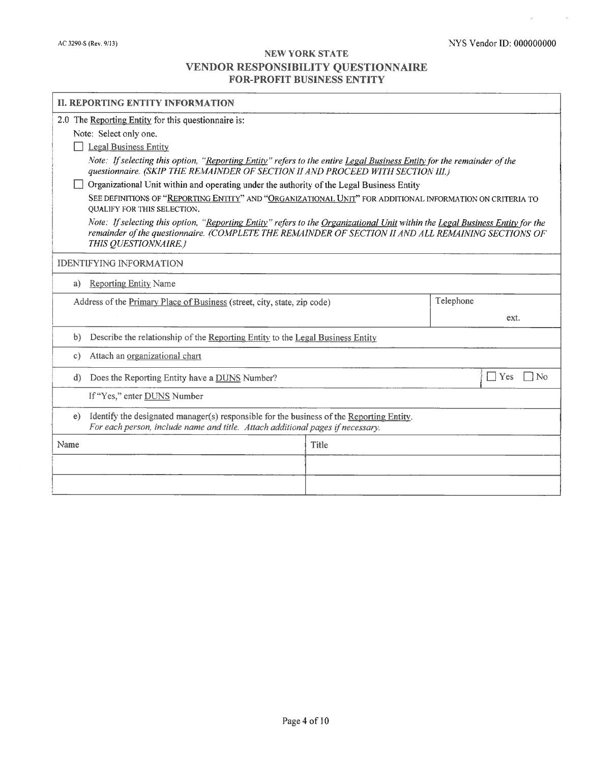$\mathcal{M}$ 

 $\sim 10$ 

| <b>II. REPORTING ENTITY INFORMATION</b>                                                                                                                                                                                                                      |       |                                                      |  |  |  |
|--------------------------------------------------------------------------------------------------------------------------------------------------------------------------------------------------------------------------------------------------------------|-------|------------------------------------------------------|--|--|--|
| 2.0 The Reporting Entity for this questionnaire is:                                                                                                                                                                                                          |       |                                                      |  |  |  |
| Note: Select only one.                                                                                                                                                                                                                                       |       |                                                      |  |  |  |
| <b>Legal Business Entity</b>                                                                                                                                                                                                                                 |       |                                                      |  |  |  |
| Note: If selecting this option, "Reporting Entity" refers to the entire Legal Business Entity for the remainder of the<br>questionnaire. (SKIP THE REMAINDER OF SECTION II AND PROCEED WITH SECTION III.)                                                    |       |                                                      |  |  |  |
| Organizational Unit within and operating under the authority of the Legal Business Entity                                                                                                                                                                    |       |                                                      |  |  |  |
| SEE DEFINITIONS OF "REPORTING ENTITY" AND "ORGANIZATIONAL UNIT" FOR ADDITIONAL INFORMATION ON CRITERIA TO<br>QUALIFY FOR THIS SELECTION.                                                                                                                     |       |                                                      |  |  |  |
| Note: If selecting this option, "Reporting Entity" refers to the Organizational Unit within the Legal Business Entity for the<br>remainder of the questionnaire. (COMPLETE THE REMAINDER OF SECTION II AND ALL REMAINING SECTIONS OF<br>THIS QUESTIONNAIRE.) |       |                                                      |  |  |  |
| <b>IDENTIFYING INFORMATION</b>                                                                                                                                                                                                                               |       |                                                      |  |  |  |
| <b>Reporting Entity Name</b><br>a)                                                                                                                                                                                                                           |       |                                                      |  |  |  |
| Telephone<br>Address of the Primary Place of Business (street, city, state, zip code)                                                                                                                                                                        |       |                                                      |  |  |  |
|                                                                                                                                                                                                                                                              |       | ext.                                                 |  |  |  |
| Describe the relationship of the Reporting Entity to the Legal Business Entity<br>b)                                                                                                                                                                         |       |                                                      |  |  |  |
| Attach an organizational chart<br>$\circ$ )                                                                                                                                                                                                                  |       |                                                      |  |  |  |
| $\mathbf{d}$<br>Does the Reporting Entity have a DUNS Number?                                                                                                                                                                                                |       | Yes<br>$\overline{\phantom{a}}$<br>$\blacksquare$ No |  |  |  |
| If "Yes," enter DUNS Number                                                                                                                                                                                                                                  |       |                                                      |  |  |  |
| Identify the designated manager(s) responsible for the business of the Reporting Entity.<br>e)<br>For each person, include name and title. Attach additional pages if necessary.                                                                             |       |                                                      |  |  |  |
| Name                                                                                                                                                                                                                                                         | Title |                                                      |  |  |  |
|                                                                                                                                                                                                                                                              |       |                                                      |  |  |  |
|                                                                                                                                                                                                                                                              |       |                                                      |  |  |  |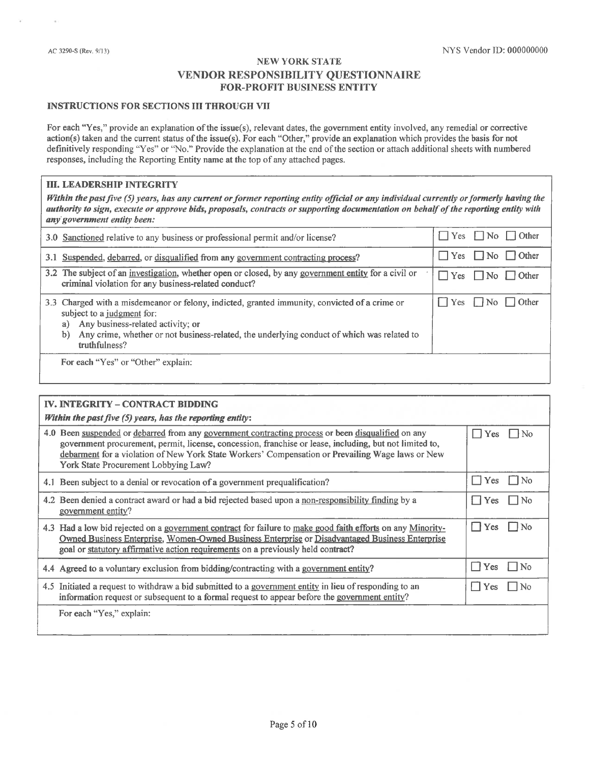#### **INSTRUCTIONS FOR SECTIONS III THROUGH VII**

For each "Yes," provide an explanation of the issue(s), relevant dates, the government entity involved, any remedial or corrective action(s) taken and the current status of the issue(s). For each "Other," provide an explanation which provides the basis for not definitively responding "Yes" or "No." Provide the explanation at the end of the section or attach additional sheets with numbered responses, including the Reporting Entity name at the top of any attached pages.

#### **III. LEADERSHIP INTEGRITY**

Within the past five  $(5)$  years, has any current or former reporting entity official or any individual currently or formerly having the authority to sign, execute or approve bids, proposals, contracts or supporting documentation on behalf of the reporting entity with any government entity been:

| 3.0 Sanctioned relative to any business or professional permit and/or license?                                                                                                                                                                                                              | Yes $\Box$ No $\Box$ Other        |
|---------------------------------------------------------------------------------------------------------------------------------------------------------------------------------------------------------------------------------------------------------------------------------------------|-----------------------------------|
| 3.1 Suspended, debarred, or disqualified from any government contracting process?                                                                                                                                                                                                           | $\Box$ Yes $\Box$ No $\Box$ Other |
| 3.2 The subject of an investigation, whether open or closed, by any government entity for a civil or<br>criminal violation for any business-related conduct?                                                                                                                                | $\Box$ Yes $\Box$ No $\Box$ Other |
| 3.3 Charged with a misdemeanor or felony, indicted, granted immunity, convicted of a crime or<br>subject to a judgment for:<br>Any business-related activity; or<br>a)<br>Any crime, whether or not business-related, the underlying conduct of which was related to<br>b)<br>truthfulness? | $\Box$ Yes $\Box$ No $\Box$ Other |
| For each "Yes" or "Other" explain:                                                                                                                                                                                                                                                          |                                   |

| IV. INTEGRITY - CONTRACT BIDDING                                                                                                                                                                                                                                                                                                                          |                     |
|-----------------------------------------------------------------------------------------------------------------------------------------------------------------------------------------------------------------------------------------------------------------------------------------------------------------------------------------------------------|---------------------|
| Within the past five $(5)$ years, has the reporting entity:                                                                                                                                                                                                                                                                                               |                     |
| 4.0 Been suspended or debarred from any government contracting process or been disqualified on any<br>government procurement, permit, license, concession, franchise or lease, including, but not limited to,<br>debarment for a violation of New York State Workers' Compensation or Prevailing Wage laws or New<br>York State Procurement Lobbying Law? | I Yes<br>: No       |
| 4.1 Been subject to a denial or revocation of a government prequalification?                                                                                                                                                                                                                                                                              | Yes<br>  No         |
| 4.2 Been denied a contract award or had a bid rejected based upon a non-responsibility finding by a<br>government entity?                                                                                                                                                                                                                                 | Yes<br>No           |
| 4.3 Had a low bid rejected on a government contract for failure to make good faith efforts on any Minority-<br>Owned Business Enterprise, Women-Owned Business Enterprise or Disadvantaged Business Enterprise<br>goal or statutory affirmative action requirements on a previously held contract?                                                        | Yes.<br>No.         |
| 4.4 Agreed to a voluntary exclusion from bidding/contracting with a government entity?                                                                                                                                                                                                                                                                    | <b>Yes</b><br>l INo |
| 4.5 Initiated a request to withdraw a bid submitted to a government entity in lieu of responding to an<br>information request or subsequent to a formal request to appear before the government entity?                                                                                                                                                   | Yes.<br>l INo       |
| For each "Yes," explain:                                                                                                                                                                                                                                                                                                                                  |                     |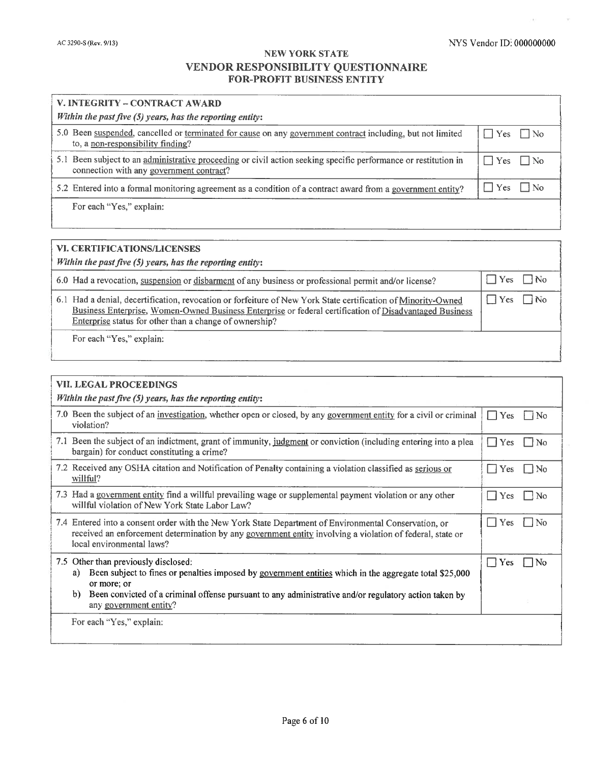×.

 $\gamma$ 

| V. INTEGRITY – CONTRACT AWARD                                                                                                                               |                      |  |  |
|-------------------------------------------------------------------------------------------------------------------------------------------------------------|----------------------|--|--|
| Within the past five $(5)$ years, has the reporting entity:                                                                                                 |                      |  |  |
| 5.0 Been suspended, cancelled or terminated for cause on any government contract including, but not limited<br>to, a non-responsibility finding?            | $\Box$ Yes $\Box$ No |  |  |
| 5.1 Been subject to an administrative proceeding or civil action seeking specific performance or restitution in<br>connection with any government contract? | $\Box$ Yes $\Box$ No |  |  |
| 5.2 Entered into a formal monitoring agreement as a condition of a contract award from a government entity?                                                 | $Yes$ No             |  |  |
| For each "Yes," explain:                                                                                                                                    |                      |  |  |

| <b>VI. CERTIFICATIONS/LICENSES</b>                                                                                                                                                                                                                                                  |                         |  |  |
|-------------------------------------------------------------------------------------------------------------------------------------------------------------------------------------------------------------------------------------------------------------------------------------|-------------------------|--|--|
| Within the past five $(5)$ years, has the reporting entity:                                                                                                                                                                                                                         |                         |  |  |
| 6.0 Had a revocation, suspension or disbarment of any business or professional permit and/or license?                                                                                                                                                                               | $\Box$ Yes $\Box$ No    |  |  |
| 6.1 Had a denial, decertification, revocation or forfeiture of New York State certification of Minority-Owned<br>Business Enterprise, Women-Owned Business Enterprise or federal certification of Disadvantaged Business<br>Enterprise status for other than a change of ownership? | $\Box$ Yes<br>$\Box$ No |  |  |
| For each "Yes," explain:                                                                                                                                                                                                                                                            |                         |  |  |
|                                                                                                                                                                                                                                                                                     |                         |  |  |

| VII. LEGAL PROCEEDINGS                                                                                                                                                                                                                                                                                        |                                            |  |  |  |
|---------------------------------------------------------------------------------------------------------------------------------------------------------------------------------------------------------------------------------------------------------------------------------------------------------------|--------------------------------------------|--|--|--|
| Within the past five $(5)$ years, has the reporting entity:                                                                                                                                                                                                                                                   |                                            |  |  |  |
| 7.0 Been the subject of an investigation, whether open or closed, by any government entity for a civil or criminal<br>violation?                                                                                                                                                                              | $\Box$ Yes<br>    No                       |  |  |  |
| 7.1 Been the subject of an indictment, grant of immunity, judgment or conviction (including entering into a plea<br>bargain) for conduct constituting a crime?                                                                                                                                                | Yes<br>l 1<br>No                           |  |  |  |
| 7.2 Received any OSHA citation and Notification of Penalty containing a violation classified as serious or<br>willful?                                                                                                                                                                                        | Yes<br>    No<br>- 1                       |  |  |  |
| 7.3 Had a government entity find a willful prevailing wage or supplemental payment violation or any other<br>willful violation of New York State Labor Law?                                                                                                                                                   | $\vert \ \vert$ Yes<br><b>No</b>           |  |  |  |
| 7.4 Entered into a consent order with the New York State Department of Environmental Conservation, or<br>received an enforcement determination by any government entity involving a violation of federal, state or<br>local environmental laws?                                                               | Yes<br>$\vert$ $\vert$ No<br>$\perp$       |  |  |  |
| 7.5 Other than previously disclosed:<br>Been subject to fines or penalties imposed by government entities which in the aggregate total \$25,000<br>a)<br>or more; or<br>b)<br>Been convicted of a criminal offense pursuant to any administrative and/or regulatory action taken by<br>any government entity? | Yes<br>N <sub>0</sub><br>$\vert \ \ \vert$ |  |  |  |
| For each "Yes," explain:                                                                                                                                                                                                                                                                                      |                                            |  |  |  |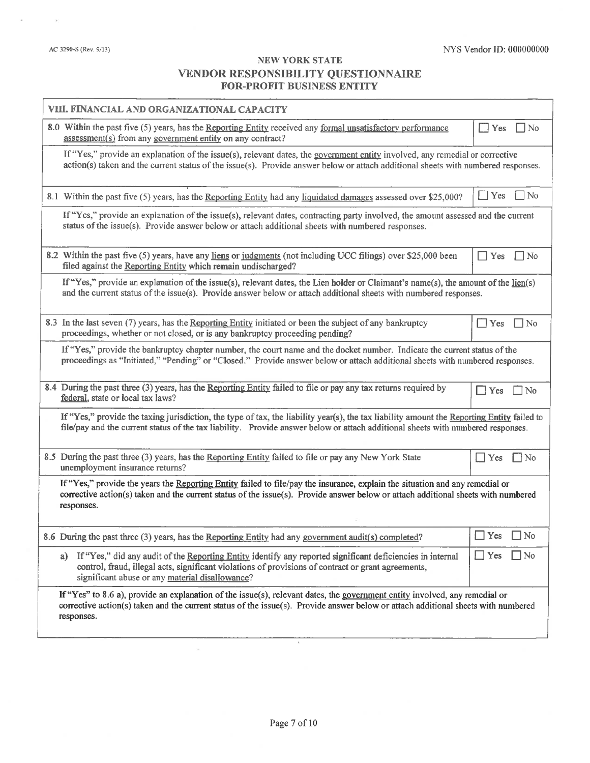| VIII. FINANCIAL AND ORGANIZATIONAL CAPACITY                                                                                                                                                                                                                                     |                         |
|---------------------------------------------------------------------------------------------------------------------------------------------------------------------------------------------------------------------------------------------------------------------------------|-------------------------|
| 8.0 Within the past five (5) years, has the Reporting Entity received any formal unsatisfactory performance<br>assessment(s) from any government entity on any contract?                                                                                                        | Yes<br>$\Box$ No        |
| If "Yes," provide an explanation of the issue(s), relevant dates, the government entity involved, any remedial or corrective<br>$action(s)$ taken and the current status of the issue(s). Provide answer below or attach additional sheets with numbered responses.             |                         |
| 8.1 Within the past five (5) years, has the Reporting Entity had any liquidated damages assessed over \$25,000?                                                                                                                                                                 | $\Box$ No<br>$\Box$ Yes |
| If "Yes," provide an explanation of the issue(s), relevant dates, contracting party involved, the amount assessed and the current<br>status of the issue(s). Provide answer below or attach additional sheets with numbered responses.                                          |                         |
| 8.2 Within the past five (5) years, have any liens or judgments (not including UCC filings) over \$25,000 been<br>filed against the Reporting Entity which remain undischarged?                                                                                                 | Yes<br>$\Box$ No        |
| If "Yes," provide an explanation of the issue(s), relevant dates, the Lien holder or Claimant's name(s), the amount of the <u>lien(s</u> )<br>and the current status of the issue(s). Provide answer below or attach additional sheets with numbered responses.                 |                         |
| 8.3 In the last seven (7) years, has the Reporting Entity initiated or been the subject of any bankruptcy<br>proceedings, whether or not closed, or is any bankruptcy proceeding pending?                                                                                       | $\Box$ Yes<br>⊺No       |
| If "Yes," provide the bankruptcy chapter number, the court name and the docket number. Indicate the current status of the<br>proceedings as "Initiated," "Pending" or "Closed." Provide answer below or attach additional sheets with numbered responses.                       |                         |
| 8.4 During the past three (3) years, has the Reporting Entity failed to file or pay any tax returns required by<br>federal, state or local tax laws?                                                                                                                            | N <sub>0</sub><br>Yes   |
|                                                                                                                                                                                                                                                                                 |                         |
| If "Yes," provide the taxing jurisdiction, the type of tax, the liability year(s), the tax liability amount the Reporting Entity failed to<br>file/pay and the current status of the tax liability. Provide answer below or attach additional sheets with numbered responses.   |                         |
| 8.5 During the past three (3) years, has the Reporting Entity failed to file or pay any New York State<br>unemployment insurance returns?                                                                                                                                       | $\Box$ Yes<br>$\Box$ No |
| If "Yes," provide the years the Reporting Entity failed to file/pay the insurance, explain the situation and any remedial or<br>corrective action(s) taken and the current status of the issue(s). Provide answer below or attach additional sheets with numbered<br>responses. |                         |
| 8.6 During the past three (3) years, has the Reporting Entity had any government audit(s) completed?                                                                                                                                                                            | $\Box$ Yes<br>$\Box$ No |
| a) If "Yes," did any audit of the Reporting Entity identify any reported significant deficiencies in internal<br>control, fraud, illegal acts, significant violations of provisions of contract or grant agreements,<br>significant abuse or any material disallowance?         | $\Box$ Yes $\Box$ No    |

 $\sim$ 

 $\sim$  10  $^\circ$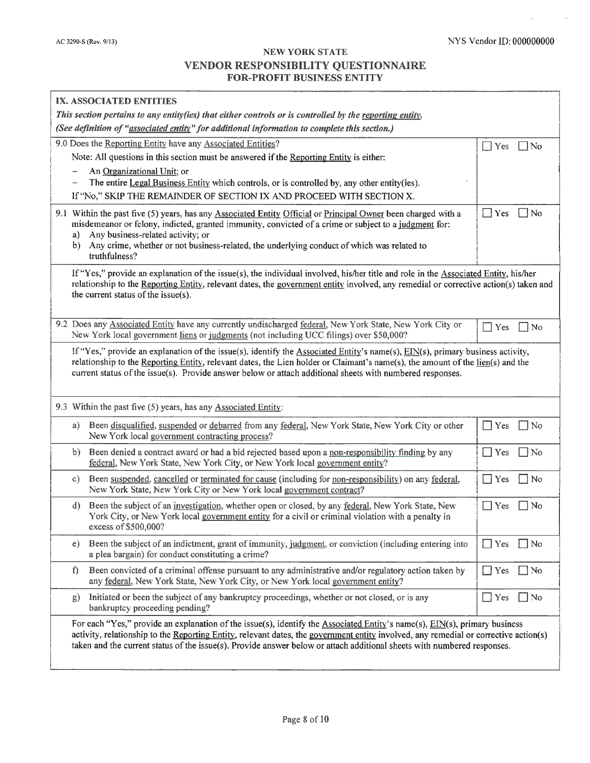$\rightarrow 0$  ).

 $\alpha$ 

| IX. ASSOCIATED ENTITIES                                                                                 |                                                                                                                                                                                                                                                                                                                                                                                                            |            |           |  |  |
|---------------------------------------------------------------------------------------------------------|------------------------------------------------------------------------------------------------------------------------------------------------------------------------------------------------------------------------------------------------------------------------------------------------------------------------------------------------------------------------------------------------------------|------------|-----------|--|--|
| This section pertains to any entity(ies) that either controls or is controlled by the reporting entity. |                                                                                                                                                                                                                                                                                                                                                                                                            |            |           |  |  |
|                                                                                                         | (See definition of "associated entity" for additional information to complete this section.)                                                                                                                                                                                                                                                                                                               |            |           |  |  |
|                                                                                                         | 9.0 Does the Reporting Entity have any Associated Entities?                                                                                                                                                                                                                                                                                                                                                | $\Box$ Yes | $\Box$ No |  |  |
|                                                                                                         | Note: All questions in this section must be answered if the Reporting Entity is either:                                                                                                                                                                                                                                                                                                                    |            |           |  |  |
|                                                                                                         | An Organizational Unit; or                                                                                                                                                                                                                                                                                                                                                                                 |            |           |  |  |
|                                                                                                         | The entire Legal Business Entity which controls, or is controlled by, any other entity(ies).                                                                                                                                                                                                                                                                                                               |            |           |  |  |
|                                                                                                         | If "No," SKIP THE REMAINDER OF SECTION IX AND PROCEED WITH SECTION X.                                                                                                                                                                                                                                                                                                                                      |            |           |  |  |
| a)<br>b)                                                                                                | 9.1 Within the past five (5) years, has any Associated Entity Official or Principal Owner been charged with a<br>misdemeanor or felony, indicted, granted immunity, convicted of a crime or subject to a judgment for:<br>Any business-related activity; or<br>Any crime, whether or not business-related, the underlying conduct of which was related to<br>truthfulness?                                 | $\Box$ Yes | $\Box$ No |  |  |
|                                                                                                         | If "Yes," provide an explanation of the issue(s), the individual involved, his/her title and role in the Associated Entity, his/her<br>relationship to the Reporting Entity, relevant dates, the government entity involved, any remedial or corrective action(s) taken and<br>the current status of the issue(s).                                                                                         |            |           |  |  |
|                                                                                                         | 9.2 Does any Associated Entity have any currently undischarged federal, New York State, New York City or<br>New York local government liens or judgments (not including UCC filings) over \$50,000?                                                                                                                                                                                                        | $\Box$ Yes | $\Box$ No |  |  |
|                                                                                                         | If "Yes," provide an explanation of the issue(s), identify the $\Delta$ ssociated Entity's name(s), EIN(s), primary business activity,<br>relationship to the Reporting Entity, relevant dates, the Lien holder or Claimant's name(s), the amount of the $\underline{\text{lien}}(s)$ and the<br>current status of the issue(s). Provide answer below or attach additional sheets with numbered responses. |            |           |  |  |
|                                                                                                         | 9.3 Within the past five (5) years, has any Associated Entity:                                                                                                                                                                                                                                                                                                                                             |            |           |  |  |
| a)                                                                                                      | Been disqualified, suspended or debarred from any federal, New York State, New York City or other<br>New York local government contracting process?                                                                                                                                                                                                                                                        | Yes        | $\Box$ No |  |  |
| b)                                                                                                      | Been denied a contract award or had a bid rejected based upon a non-responsibility finding by any<br>federal, New York State, New York City, or New York local government entity?                                                                                                                                                                                                                          | $\Box$ Yes | $\Box$ No |  |  |
| c)                                                                                                      | Been suspended, cancelled or terminated for cause (including for non-responsibility) on any federal,<br>New York State, New York City or New York local government contract?                                                                                                                                                                                                                               | $\Box$ Yes | $\Box$ No |  |  |
| $\mathbf{d}$                                                                                            | Been the subject of an investigation, whether open or closed, by any federal, New York State, New<br>York City, or New York local government entity for a civil or criminal violation with a penalty in<br>excess of \$500,000?                                                                                                                                                                            | $\Box$ Yes | $\Box$ No |  |  |
| e)                                                                                                      | Been the subject of an indictment, grant of immunity, judgment, or conviction (including entering into<br>a plea bargain) for conduct constituting a crime?                                                                                                                                                                                                                                                | $\Box$ Yes | $\Box$ No |  |  |
| f)                                                                                                      | Been convicted of a criminal offense pursuant to any administrative and/or regulatory action taken by<br>any federal, New York State, New York City, or New York local government entity?                                                                                                                                                                                                                  | $\Box$ Yes | $\Box$ No |  |  |
| g)                                                                                                      | Initiated or been the subject of any bankruptcy proceedings, whether or not closed, or is any<br>bankruptcy proceeding pending?                                                                                                                                                                                                                                                                            | $\Box$ Yes | $\Box$ No |  |  |
|                                                                                                         | For each "Yes," provide an explanation of the issue(s), identify the Associated Entity's name(s), $EIN(s)$ , primary business<br>activity, relationship to the Reporting Entity, relevant dates, the government entity involved, any remedial or corrective action(s)<br>taken and the current status of the issue(s). Provide answer below or attach additional sheets with numbered responses.           |            |           |  |  |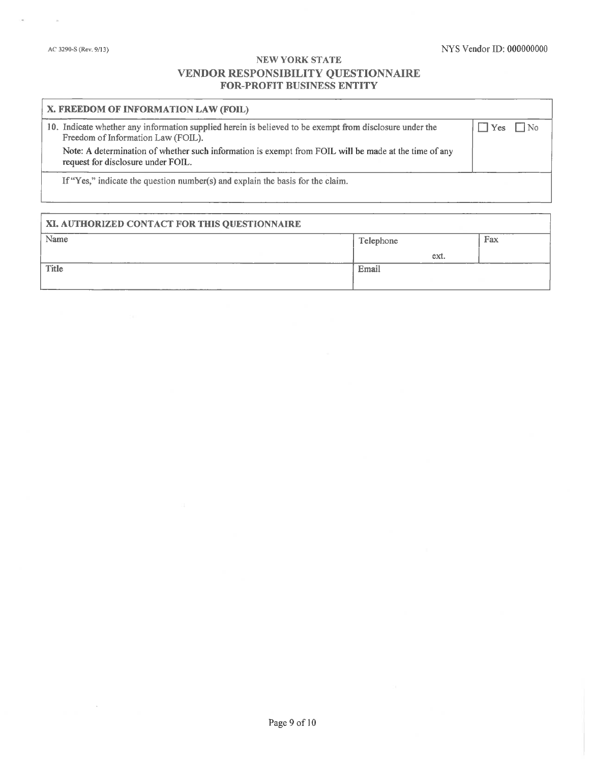#### NYS Vendor ID: 000000000

# NEW YORK STATE VENDOR RESPONSIBILITY QUESTIONNAIRE **FOR-PROFIT BUSINESS ENTITY**

| X. FREEDOM OF INFORMATION LAW (FOIL)                                                                                                          |                |           |
|-----------------------------------------------------------------------------------------------------------------------------------------------|----------------|-----------|
| 10. Indicate whether any information supplied herein is believed to be exempt from disclosure under the<br>Freedom of Information Law (FOIL). | $\blacksquare$ | $\Box$ No |
| Note: A determination of whether such information is exempt from FOIL will be made at the time of any<br>request for disclosure under FOIL.   |                |           |
| If "Yes," indicate the question number(s) and explain the basis for the claim.                                                                |                |           |

| XI. AUTHORIZED CONTACT FOR THIS QUESTIONNAIRE |           |      |     |
|-----------------------------------------------|-----------|------|-----|
| Name                                          | Telephone |      | Fax |
|                                               |           | ext. |     |
| <b>Title</b>                                  | Email     |      |     |
|                                               |           |      |     |

 $\sim$ 

 $\sim$ 

o.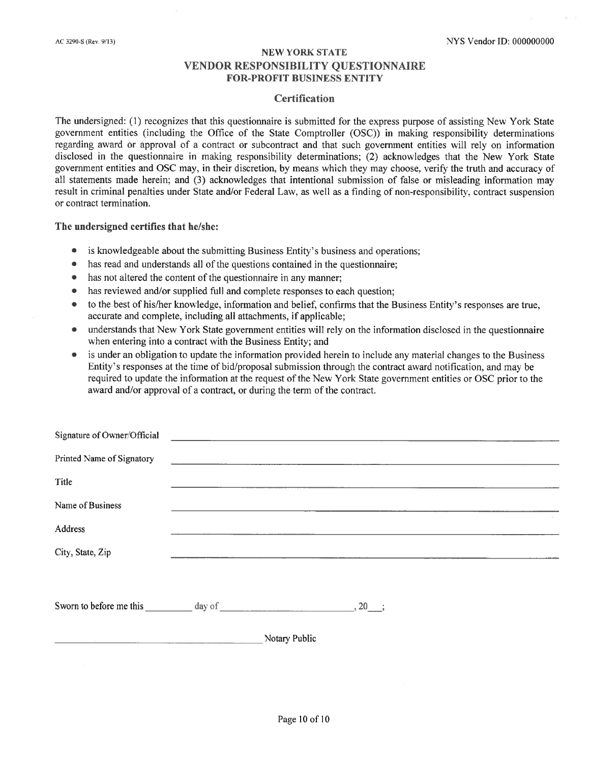#### **Certification**

The undersigned: (1) recognizes that this questionnaire is submitted for the express purpose of assisting New York State government entities (including the Office of the State Comptroller (OSC)) in making responsibility determinations regarding award or approval of a contract or subcontract and that such government entities will rely on information disclosed in the questionnaire in making responsibility determinations; (2) acknowledges that the New York State government entities and OSC may, in their discretion, by means which they may choose, verify the truth and accuracy of all statements made herein; and (3) acknowledges that intentional submission of false or misleading information may result in criminal penalties under State and/or Federal Law, as well as a finding of non-responsibility, contract suspension or contract termination.

#### The undersigned certifies that he/she:

- is knowledgeable about the submitting Business Entity's business and operations;  $\bullet$
- $\bullet$ has read and understands all of the questions contained in the questionnaire;
- has not altered the content of the question aire in any manner;
- has reviewed and/or supplied full and complete responses to each question;  $\bullet$
- to the best of his/her knowledge, information and belief, confirms that the Business Entity's responses are true,  $\bullet$ accurate and complete, including all attachments, if applicable;
- understands that New York State government entities will rely on the information disclosed in the questionnaire when entering into a contract with the Business Entity; and
- is under an obligation to update the information provided herein to include any material changes to the Business Entity's responses at the time of bid/proposal submission through the contract award notification, and may be required to update the information at the request of the New York State government entities or OSC prior to the award and/or approval of a contract, or during the term of the contract.

| Signature of Owner/Official                                                    |               |                                                                                                                      |  |
|--------------------------------------------------------------------------------|---------------|----------------------------------------------------------------------------------------------------------------------|--|
| Printed Name of Signatory                                                      |               | <u> 1980 - Jacques Barbara, presidente e altre altres estableces de la construcción de la construcción de la con</u> |  |
| Title                                                                          |               |                                                                                                                      |  |
| Name of Business                                                               |               |                                                                                                                      |  |
| Address                                                                        |               |                                                                                                                      |  |
| City, State, Zip                                                               |               |                                                                                                                      |  |
|                                                                                |               |                                                                                                                      |  |
| Sworn to before me this $\frac{1}{2}$ day of $\frac{1}{2}$ , 20, $\frac{1}{2}$ |               |                                                                                                                      |  |
|                                                                                | Notary Public |                                                                                                                      |  |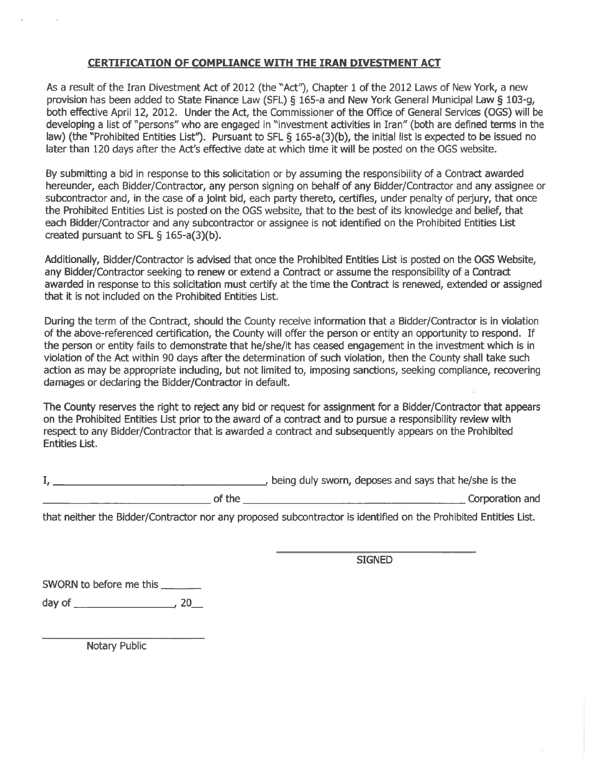## **CERTIFICATION OF COMPLIANCE WITH THE IRAN DIVESTMENT ACT**

As a result of the Iran Divestment Act of 2012 (the "Act"), Chapter 1 of the 2012 Laws of New York, a new provision has been added to State Finance Law (SFL) § 165-a and New York General Municipal Law § 103-g, both effective April 12, 2012. Under the Act, the Commissioner of the Office of General Services (OGS) will be developing a list of "persons" who are engaged in "investment activities in Iran" (both are defined terms in the law) (the "Prohibited Entities List"). Pursuant to SFL § 165-a(3)(b), the initial list is expected to be issued no later than 120 days after the Act's effective date at which time it will be posted on the OGS website.

By submitting a bid in response to this solicitation or by assuming the responsibility of a Contract awarded hereunder, each Bidder/Contractor, any person signing on behalf of any Bidder/Contractor and any assignee or subcontractor and, in the case of a joint bid, each party thereto, certifies, under penalty of perjury, that once the Prohibited Entities List is posted on the OGS website, that to the best of its knowledge and belief, that each Bidder/Contractor and any subcontractor or assignee is not identified on the Prohibited Entities List created pursuant to SFL § 165-a(3)(b).

Additionally, Bidder/Contractor is advised that once the Prohibited Entities List is posted on the OGS Website, any Bidder/Contractor seeking to renew or extend a Contract or assume the responsibility of a Contract awarded in response to this solicitation must certify at the time the Contract is renewed, extended or assigned that it is not included on the Prohibited Entities List.

During the term of the Contract, should the County receive information that a Bidder/Contractor is in violation of the above-referenced certification, the County will offer the person or entity an opportunity to respond. If the person or entity fails to demonstrate that he/she/it has ceased engagement in the investment which is in violation of the Act within 90 days after the determination of such violation, then the County shall take such action as may be appropriate including, but not limited to, imposing sanctions, seeking compliance, recovering damages or declaring the Bidder/Contractor in default.

The County reserves the right to reject any bid or request for assignment for a Bidder/Contractor that appears on the Prohibited Entities List prior to the award of a contract and to pursue a responsibility review with respect to any Bidder/Contractor that is awarded a contract and subsequently appears on the Prohibited **Entities List.** 

|        | , being duly sworn, deposes and says that he/she is the |
|--------|---------------------------------------------------------|
| of the | Corporation and                                         |

that neither the Bidder/Contractor nor any proposed subcontractor is identified on the Prohibited Entities List.

**SIGNED** 

SWORN to before me this \_\_\_\_\_\_

Notary Public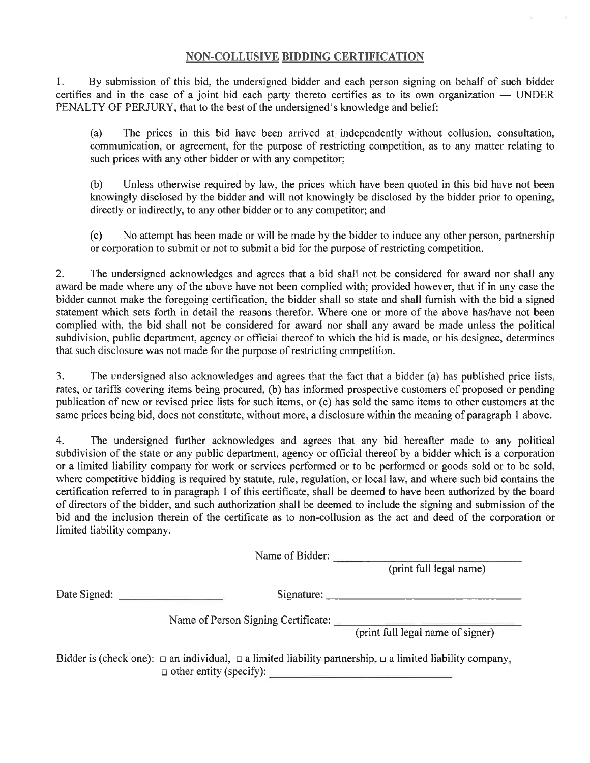# **NON-COLLUSIVE BIDDING CERTIFICATION**

By submission of this bid, the undersigned bidder and each person signing on behalf of such bidder  $1.$ certifies and in the case of a joint bid each party thereto certifies as to its own organization — UNDER PENALTY OF PERJURY, that to the best of the undersigned's knowledge and belief:

The prices in this bid have been arrived at independently without collusion, consultation,  $(a)$ communication, or agreement, for the purpose of restricting competition, as to any matter relating to such prices with any other bidder or with any competitor;

Unless otherwise required by law, the prices which have been quoted in this bid have not been  $(b)$ knowingly disclosed by the bidder and will not knowingly be disclosed by the bidder prior to opening, directly or indirectly, to any other bidder or to any competitor; and

 $(c)$ No attempt has been made or will be made by the bidder to induce any other person, partnership or corporation to submit or not to submit a bid for the purpose of restricting competition.

 $2.$ The undersigned acknowledges and agrees that a bid shall not be considered for award nor shall any award be made where any of the above have not been complied with; provided however, that if in any case the bidder cannot make the foregoing certification, the bidder shall so state and shall furnish with the bid a signed statement which sets forth in detail the reasons therefor. Where one or more of the above has/have not been complied with, the bid shall not be considered for award nor shall any award be made unless the political subdivision, public department, agency or official thereof to which the bid is made, or his designee, determines that such disclosure was not made for the purpose of restricting competition.

 $3.$ The undersigned also acknowledges and agrees that the fact that a bidder (a) has published price lists, rates, or tariffs covering items being procured, (b) has informed prospective customers of proposed or pending publication of new or revised price lists for such items, or (c) has sold the same items to other customers at the same prices being bid, does not constitute, without more, a disclosure within the meaning of paragraph 1 above.

4. The undersigned further acknowledges and agrees that any bid hereafter made to any political subdivision of the state or any public department, agency or official thereof by a bidder which is a corporation or a limited liability company for work or services performed or to be performed or goods sold or to be sold, where competitive bidding is required by statute, rule, regulation, or local law, and where such bid contains the certification referred to in paragraph 1 of this certificate, shall be deemed to have been authorized by the board of directors of the bidder, and such authorization shall be deemed to include the signing and submission of the bid and the inclusion therein of the certificate as to non-collusion as the act and deed of the corporation or limited liability company.

Name of Bidder:

(print full legal name)

Signature:

Name of Person Signing Certificate: (print full legal name of signer)

Bidder is (check one):  $\Box$  an individual,  $\Box$  a limited liability partnership,  $\Box$  a limited liability company,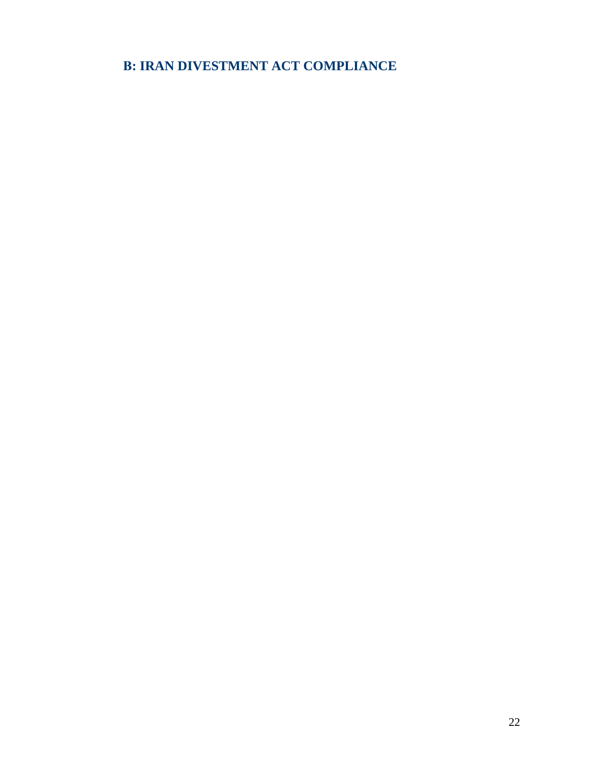**B: IRAN DIVESTMENT ACT COMPLIANCE**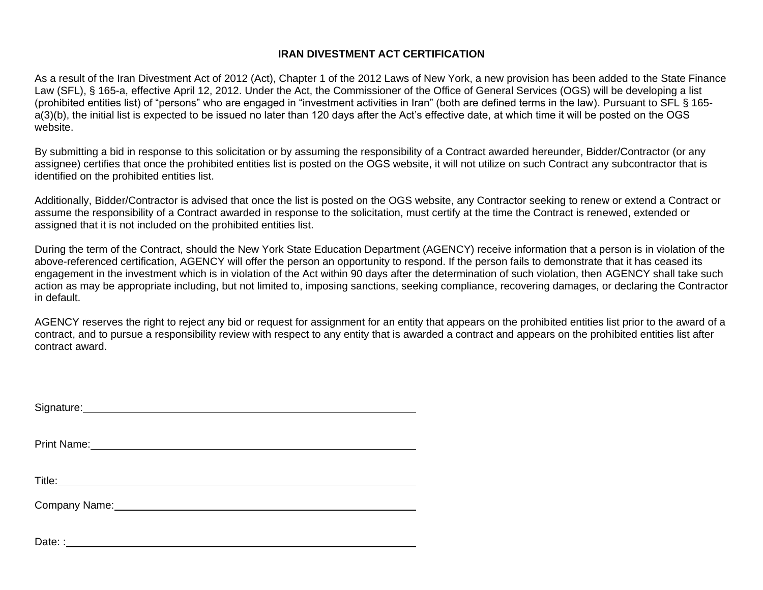# **IRAN DIVESTMENT ACT CERTIFICATION**

As a result of the Iran Divestment Act of 2012 (Act), Chapter 1 of the 2012 Laws of New York, a new provision has been added to the State Finance Law (SFL), § 165-a, effective April 12, 2012. Under the Act, the Commissioner of the Office of General Services (OGS) will be developing a list (prohibited entities list) of "persons" who are engaged in "investment activities in Iran" (both are defined terms in the law). Pursuant to SFL § 165 a(3)(b), the initial list is expected to be issued no later than 120 days after the Act's effective date, at which time it will be posted on the OGS website.

By submitting a bid in response to this solicitation or by assuming the responsibility of a Contract awarded hereunder, Bidder/Contractor (or any assignee) certifies that once the prohibited entities list is posted on the OGS website, it will not utilize on such Contract any subcontractor that is identified on the prohibited entities list.

Additionally, Bidder/Contractor is advised that once the list is posted on the OGS website, any Contractor seeking to renew or extend a Contract or assume the responsibility of a Contract awarded in response to the solicitation, must certify at the time the Contract is renewed, extended or assigned that it is not included on the prohibited entities list.

During the term of the Contract, should the New York State Education Department (AGENCY) receive information that a person is in violation of the above-referenced certification, AGENCY will offer the person an opportunity to respond. If the person fails to demonstrate that it has ceased its engagement in the investment which is in violation of the Act within 90 days after the determination of such violation, then AGENCY shall take such action as may be appropriate including, but not limited to, imposing sanctions, seeking compliance, recovering damages, or declaring the Contractor in default.

AGENCY reserves the right to reject any bid or request for assignment for an entity that appears on the prohibited entities list prior to the award of a contract, and to pursue a responsibility review with respect to any entity that is awarded a contract and appears on the prohibited entities list after contract award.

| Signature: Management Communication of the Signature: |  |  |
|-------------------------------------------------------|--|--|
|                                                       |  |  |
|                                                       |  |  |
|                                                       |  |  |
|                                                       |  |  |
| Company Name: Mannell Company Name:                   |  |  |
|                                                       |  |  |
|                                                       |  |  |

Date: :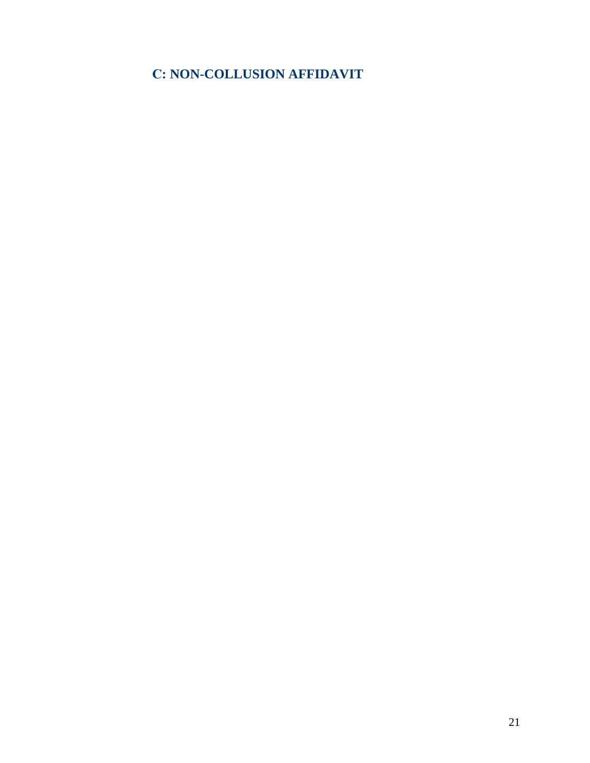# **C: NON-COLLUSION AFFIDAVIT**